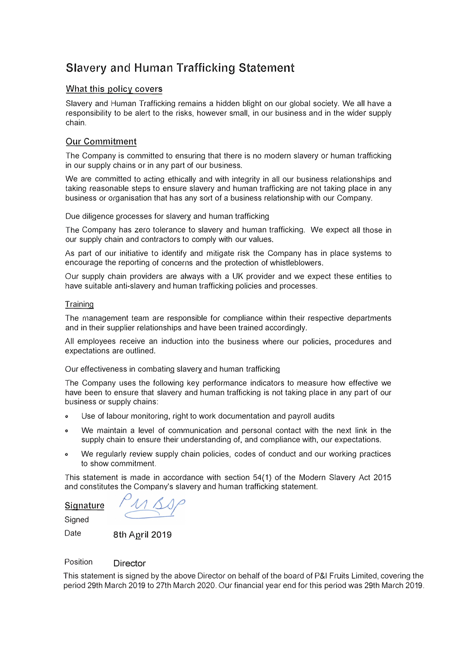# Slavery and Human Trafficking Statement

### What this policy covers

Slavery and Human Trafficking remains a hidden blight on our global society. We all have a responsibility to be alert to the risks, however small, in our business and in the wider supply chain.

## Our Commitment

The Company is committed to ensuring that there is no modern slavery *or* human trafficking in our supply chains or in any part of our business.

We are committed to acting ethically and with integrity in all our business relationships and taking reasonable steps to ensure slavery and human trafficking are not taking place in any business *or* organisation that has any sort of a business relationship with our Company.

Due diligence processes for slavery and human trafficking

The Company has zero tolerance to slavery and human trafficking. We expect all those in our supply chain and contractors to comply with our values.

As part of our initiative to identify and mitigate risk the Company has in place systems to encourage the reporting of concerns and the protection of whistleblowers.

Our supply chain providers are always with a UK provider and we expect these entities to have suitable anti-slavery and human trafficking policies and processes.

#### **Training**

The management team are responsible for compliance within their respective departments and in their supplier relationships and have been trained accordingly.

All employees receive an induction into the business where our policies, procedures and expectations are outlined.

Our effectiveness in combating slavery and human trafficking

The Company uses the following key performance indicators to measure how effective we have been to ensure that slavery and human trafficking is not taking place in any part of our business or supply chains:

- **<sup>o</sup>**Use of labour monitoring, right to work documentation and payroll audits
- We maintain a level of communication and personal contact with the next link in the supply chain to ensure their understanding of, and compliance with, our expectations.
- **<sup>o</sup>**We regularly review supply chain policies, codes of conduct and our working practices to show commitment.

This statement is made in accordance with section 54(1) of the Modern Slavery Act 2015 and constitutes the Company's slavery and human trafficking statement.

**Signature** 

**Signed** 

Date 8th April 2019

#### Position **Director**

This statement is signed by the above Director on behalf of the board of P&I Fruits Limited, covering the period 29th March 2019 to 27th March 2020. Our financial year end for this period was 29th March 2019.